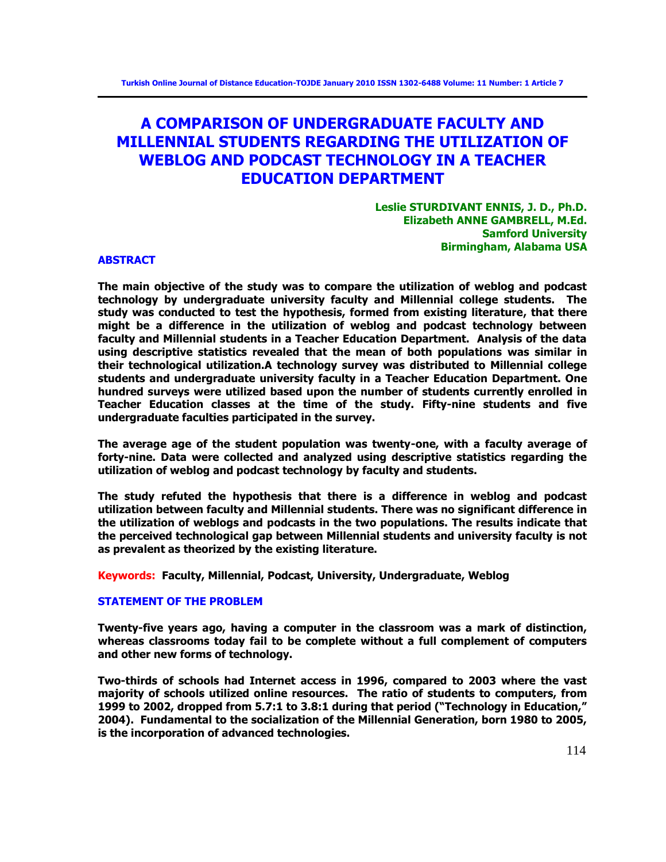# **A COMPARISON OF UNDERGRADUATE FACULTY AND MILLENNIAL STUDENTS REGARDING THE UTILIZATION OF WEBLOG AND PODCAST TECHNOLOGY IN A TEACHER EDUCATION DEPARTMENT**

## **Leslie STURDIVANT ENNIS, J. D., Ph.D. Elizabeth ANNE GAMBRELL, M.Ed. Samford University Birmingham, Alabama USA**

#### **ABSTRACT**

**The main objective of the study was to compare the utilization of weblog and podcast technology by undergraduate university faculty and Millennial college students. The study was conducted to test the hypothesis, formed from existing literature, that there might be a difference in the utilization of weblog and podcast technology between faculty and Millennial students in a Teacher Education Department. Analysis of the data using descriptive statistics revealed that the mean of both populations was similar in their technological utilization.A technology survey was distributed to Millennial college students and undergraduate university faculty in a Teacher Education Department. One hundred surveys were utilized based upon the number of students currently enrolled in Teacher Education classes at the time of the study. Fifty-nine students and five undergraduate faculties participated in the survey.** 

**The average age of the student population was twenty-one, with a faculty average of forty-nine. Data were collected and analyzed using descriptive statistics regarding the utilization of weblog and podcast technology by faculty and students.** 

**The study refuted the hypothesis that there is a difference in weblog and podcast utilization between faculty and Millennial students. There was no significant difference in the utilization of weblogs and podcasts in the two populations. The results indicate that the perceived technological gap between Millennial students and university faculty is not as prevalent as theorized by the existing literature.** 

**Keywords: Faculty, Millennial, Podcast, University, Undergraduate, Weblog** 

## **STATEMENT OF THE PROBLEM**

**Twenty-five years ago, having a computer in the classroom was a mark of distinction, whereas classrooms today fail to be complete without a full complement of computers and other new forms of technology.** 

**Two-thirds of schools had Internet access in 1996, compared to 2003 where the vast majority of schools utilized online resources. The ratio of students to computers, from**  1999 to 2002, dropped from 5.7:1 to 3.8:1 during that period ("Technology in Education," **2004). Fundamental to the socialization of the Millennial Generation, born 1980 to 2005, is the incorporation of advanced technologies.**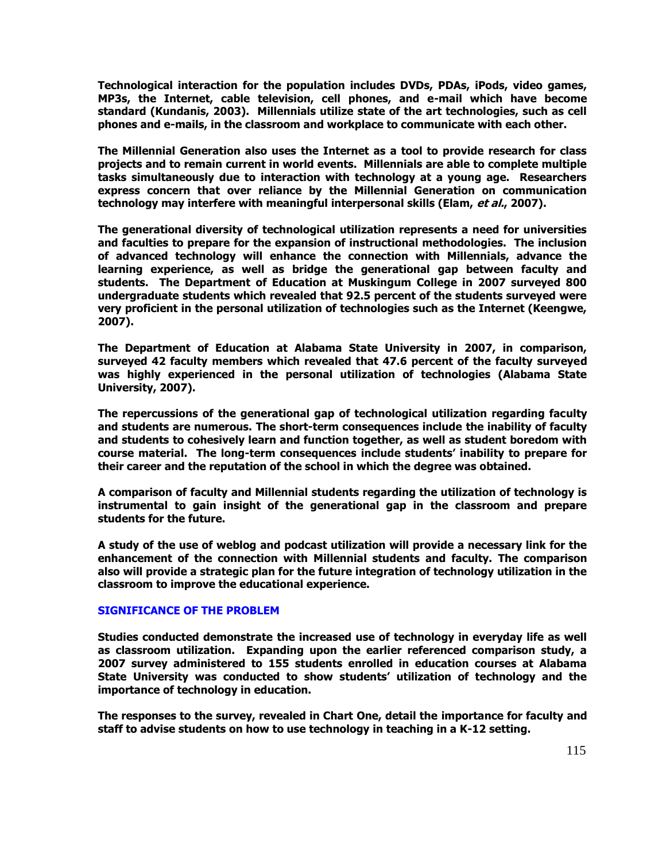**Technological interaction for the population includes DVDs, PDAs, iPods, video games, MP3s, the Internet, cable television, cell phones, and e-mail which have become standard (Kundanis, 2003). Millennials utilize state of the art technologies, such as cell phones and e-mails, in the classroom and workplace to communicate with each other.** 

**The Millennial Generation also uses the Internet as a tool to provide research for class projects and to remain current in world events. Millennials are able to complete multiple tasks simultaneously due to interaction with technology at a young age. Researchers express concern that over reliance by the Millennial Generation on communication technology may interfere with meaningful interpersonal skills (Elam, et al., 2007).** 

**The generational diversity of technological utilization represents a need for universities and faculties to prepare for the expansion of instructional methodologies. The inclusion of advanced technology will enhance the connection with Millennials, advance the learning experience, as well as bridge the generational gap between faculty and students. The Department of Education at Muskingum College in 2007 surveyed 800 undergraduate students which revealed that 92.5 percent of the students surveyed were very proficient in the personal utilization of technologies such as the Internet (Keengwe, 2007).** 

**The Department of Education at Alabama State University in 2007, in comparison, surveyed 42 faculty members which revealed that 47.6 percent of the faculty surveyed was highly experienced in the personal utilization of technologies (Alabama State University, 2007).** 

**The repercussions of the generational gap of technological utilization regarding faculty and students are numerous. The short-term consequences include the inability of faculty and students to cohesively learn and function together, as well as student boredom with course material. The long-term consequences include students' inability to prepare for their career and the reputation of the school in which the degree was obtained.** 

**A comparison of faculty and Millennial students regarding the utilization of technology is instrumental to gain insight of the generational gap in the classroom and prepare students for the future.** 

**A study of the use of weblog and podcast utilization will provide a necessary link for the enhancement of the connection with Millennial students and faculty. The comparison also will provide a strategic plan for the future integration of technology utilization in the classroom to improve the educational experience.** 

## **SIGNIFICANCE OF THE PROBLEM**

**Studies conducted demonstrate the increased use of technology in everyday life as well as classroom utilization. Expanding upon the earlier referenced comparison study, a 2007 survey administered to 155 students enrolled in education courses at Alabama State University was conducted to show students' utilization of technology and the importance of technology in education.** 

**The responses to the survey, revealed in Chart One, detail the importance for faculty and staff to advise students on how to use technology in teaching in a K-12 setting.**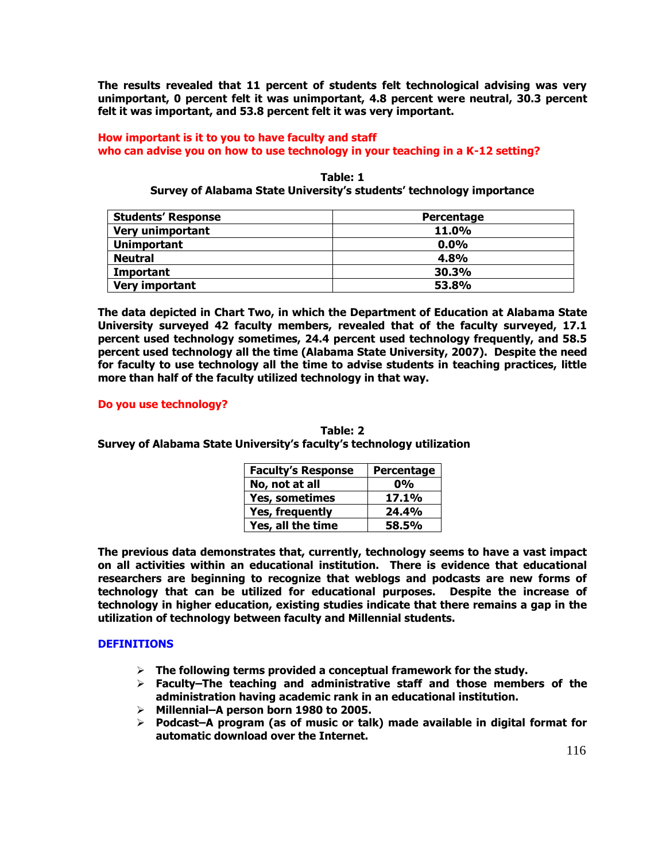**The results revealed that 11 percent of students felt technological advising was very unimportant, 0 percent felt it was unimportant, 4.8 percent were neutral, 30.3 percent felt it was important, and 53.8 percent felt it was very important.** 

# **How important is it to you to have faculty and staff who can advise you on how to use technology in your teaching in a K-12 setting?**

**Table: 1 Survey of Alabama State University's students' technology importance**

| <b>Students' Response</b> | Percentage |
|---------------------------|------------|
| <b>Very unimportant</b>   | 11.0%      |
| <b>Unimportant</b>        | $0.0\%$    |
| <b>Neutral</b>            | 4.8%       |
| Important                 | 30.3%      |
| <b>Very important</b>     | 53.8%      |

**The data depicted in Chart Two, in which the Department of Education at Alabama State University surveyed 42 faculty members, revealed that of the faculty surveyed, 17.1 percent used technology sometimes, 24.4 percent used technology frequently, and 58.5 percent used technology all the time (Alabama State University, 2007). Despite the need for faculty to use technology all the time to advise students in teaching practices, little more than half of the faculty utilized technology in that way.** 

## **Do you use technology?**

**Table: 2 Survey of Alabama State University's faculty's technology utilization** 

| <b>Faculty's Response</b> | Percentage   |
|---------------------------|--------------|
| No, not at all            | 0%           |
| Yes, sometimes            | <b>17.1%</b> |
| <b>Yes, frequently</b>    | 24.4%        |
| Yes, all the time         | <b>58.5%</b> |

**The previous data demonstrates that, currently, technology seems to have a vast impact on all activities within an educational institution. There is evidence that educational researchers are beginning to recognize that weblogs and podcasts are new forms of technology that can be utilized for educational purposes. Despite the increase of technology in higher education, existing studies indicate that there remains a gap in the utilization of technology between faculty and Millennial students.** 

# **DEFINITIONS**

- **The following terms provided a conceptual framework for the study.**
- **Faculty–The teaching and administrative staff and those members of the administration having academic rank in an educational institution.**
- **Millennial–A person born 1980 to 2005.**
- **Podcast–A program (as of music or talk) made available in digital format for automatic download over the Internet.**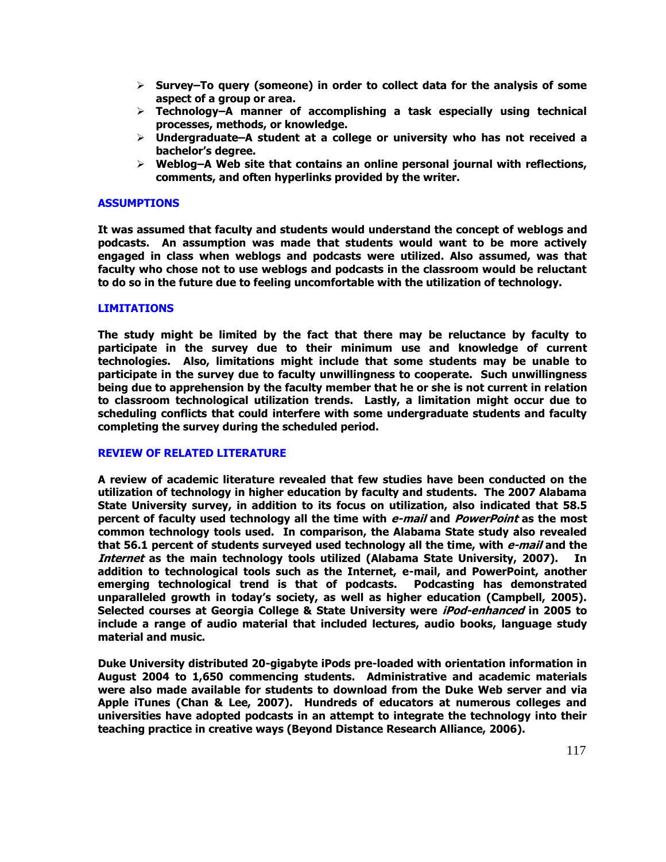- **Survey–To query (someone) in order to collect data for the analysis of some aspect of a group or area.**
- **Technology–A manner of accomplishing a task especially using technical processes, methods, or knowledge.**
- **Undergraduate–A student at a college or university who has not received a bachelor's degree.**
- **Weblog–A Web site that contains an online personal journal with reflections, comments, and often hyperlinks provided by the writer.**

## **ASSUMPTIONS**

**It was assumed that faculty and students would understand the concept of weblogs and podcasts. An assumption was made that students would want to be more actively engaged in class when weblogs and podcasts were utilized. Also assumed, was that faculty who chose not to use weblogs and podcasts in the classroom would be reluctant to do so in the future due to feeling uncomfortable with the utilization of technology.** 

#### **LIMITATIONS**

**The study might be limited by the fact that there may be reluctance by faculty to participate in the survey due to their minimum use and knowledge of current technologies. Also, limitations might include that some students may be unable to participate in the survey due to faculty unwillingness to cooperate. Such unwillingness being due to apprehension by the faculty member that he or she is not current in relation to classroom technological utilization trends. Lastly, a limitation might occur due to scheduling conflicts that could interfere with some undergraduate students and faculty completing the survey during the scheduled period.** 

#### **REVIEW OF RELATED LITERATURE**

**A review of academic literature revealed that few studies have been conducted on the utilization of technology in higher education by faculty and students. The 2007 Alabama State University survey, in addition to its focus on utilization, also indicated that 58.5 percent of faculty used technology all the time with e-mail and PowerPoint as the most common technology tools used. In comparison, the Alabama State study also revealed that 56.1 percent of students surveyed used technology all the time, with e-mail and the Internet as the main technology tools utilized (Alabama State University, 2007). In addition to technological tools such as the Internet, e-mail, and PowerPoint, another emerging technological trend is that of podcasts. Podcasting has demonstrated unparalleled growth in today's society, as well as higher education (Campbell, 2005). Selected courses at Georgia College & State University were iPod-enhanced in 2005 to include a range of audio material that included lectures, audio books, language study material and music.** 

**Duke University distributed 20-gigabyte iPods pre-loaded with orientation information in August 2004 to 1,650 commencing students. Administrative and academic materials were also made available for students to download from the Duke Web server and via Apple iTunes (Chan & Lee, 2007). Hundreds of educators at numerous colleges and universities have adopted podcasts in an attempt to integrate the technology into their teaching practice in creative ways (Beyond Distance Research Alliance, 2006).**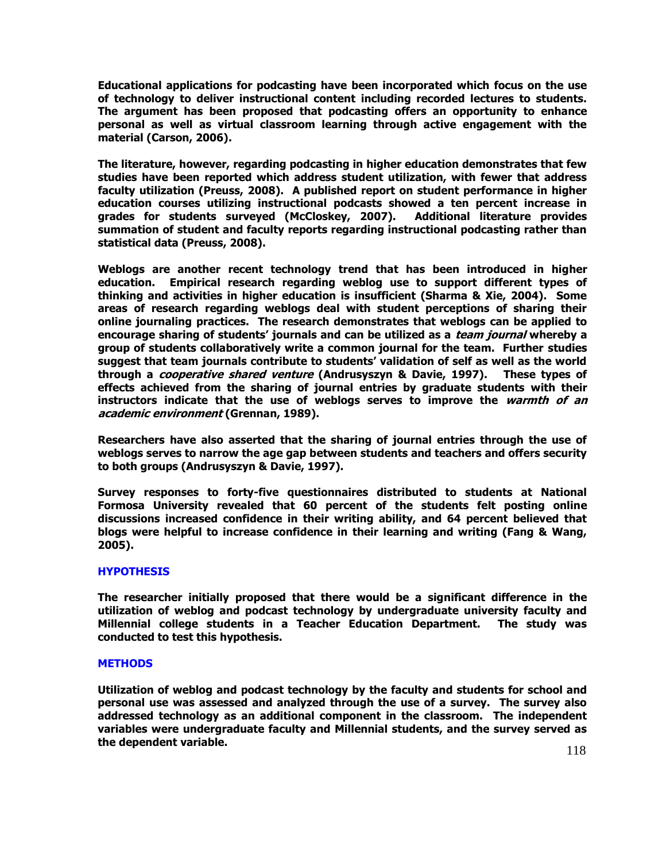**Educational applications for podcasting have been incorporated which focus on the use of technology to deliver instructional content including recorded lectures to students. The argument has been proposed that podcasting offers an opportunity to enhance personal as well as virtual classroom learning through active engagement with the material (Carson, 2006).** 

**The literature, however, regarding podcasting in higher education demonstrates that few studies have been reported which address student utilization, with fewer that address faculty utilization (Preuss, 2008). A published report on student performance in higher education courses utilizing instructional podcasts showed a ten percent increase in grades for students surveyed (McCloskey, 2007). Additional literature provides summation of student and faculty reports regarding instructional podcasting rather than statistical data (Preuss, 2008).** 

**Weblogs are another recent technology trend that has been introduced in higher education. Empirical research regarding weblog use to support different types of thinking and activities in higher education is insufficient (Sharma & Xie, 2004). Some areas of research regarding weblogs deal with student perceptions of sharing their online journaling practices. The research demonstrates that weblogs can be applied to encourage sharing of students' journals and can be utilized as a team journal whereby a group of students collaboratively write a common journal for the team. Further studies suggest that team journals contribute to students' validation of self as well as the world through a cooperative shared venture (Andrusyszyn & Davie, 1997). These types of effects achieved from the sharing of journal entries by graduate students with their instructors indicate that the use of weblogs serves to improve the warmth of an academic environment (Grennan, 1989).** 

**Researchers have also asserted that the sharing of journal entries through the use of weblogs serves to narrow the age gap between students and teachers and offers security to both groups (Andrusyszyn & Davie, 1997).** 

**Survey responses to forty-five questionnaires distributed to students at National Formosa University revealed that 60 percent of the students felt posting online discussions increased confidence in their writing ability, and 64 percent believed that blogs were helpful to increase confidence in their learning and writing (Fang & Wang, 2005).** 

## **HYPOTHESIS**

**The researcher initially proposed that there would be a significant difference in the utilization of weblog and podcast technology by undergraduate university faculty and Millennial college students in a Teacher Education Department. The study was conducted to test this hypothesis.** 

## **METHODS**

**Utilization of weblog and podcast technology by the faculty and students for school and personal use was assessed and analyzed through the use of a survey. The survey also addressed technology as an additional component in the classroom. The independent variables were undergraduate faculty and Millennial students, and the survey served as the dependent variable.**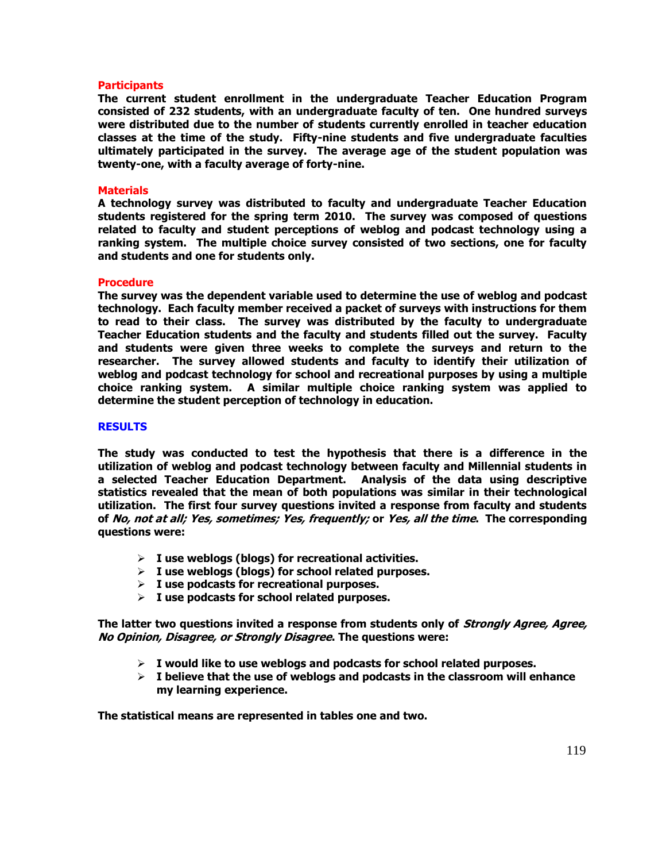#### **Participants**

**The current student enrollment in the undergraduate Teacher Education Program consisted of 232 students, with an undergraduate faculty of ten. One hundred surveys were distributed due to the number of students currently enrolled in teacher education classes at the time of the study. Fifty-nine students and five undergraduate faculties ultimately participated in the survey. The average age of the student population was twenty-one, with a faculty average of forty-nine.** 

#### **Materials**

**A technology survey was distributed to faculty and undergraduate Teacher Education students registered for the spring term 2010. The survey was composed of questions related to faculty and student perceptions of weblog and podcast technology using a ranking system. The multiple choice survey consisted of two sections, one for faculty and students and one for students only.** 

#### **Procedure**

**The survey was the dependent variable used to determine the use of weblog and podcast technology. Each faculty member received a packet of surveys with instructions for them to read to their class. The survey was distributed by the faculty to undergraduate Teacher Education students and the faculty and students filled out the survey. Faculty and students were given three weeks to complete the surveys and return to the researcher. The survey allowed students and faculty to identify their utilization of weblog and podcast technology for school and recreational purposes by using a multiple choice ranking system. A similar multiple choice ranking system was applied to determine the student perception of technology in education.** 

#### **RESULTS**

**The study was conducted to test the hypothesis that there is a difference in the utilization of weblog and podcast technology between faculty and Millennial students in a selected Teacher Education Department. Analysis of the data using descriptive statistics revealed that the mean of both populations was similar in their technological utilization. The first four survey questions invited a response from faculty and students of No, not at all; Yes, sometimes; Yes, frequently; or Yes, all the time. The corresponding questions were:** 

- **I use weblogs (blogs) for recreational activities.**
- **I use weblogs (blogs) for school related purposes.**
- **I use podcasts for recreational purposes.**
- **I use podcasts for school related purposes.**

**The latter two questions invited a response from students only of Strongly Agree, Agree, No Opinion, Disagree, or Strongly Disagree. The questions were:** 

- **I would like to use weblogs and podcasts for school related purposes.**
- **I believe that the use of weblogs and podcasts in the classroom will enhance my learning experience.**

**The statistical means are represented in tables one and two.**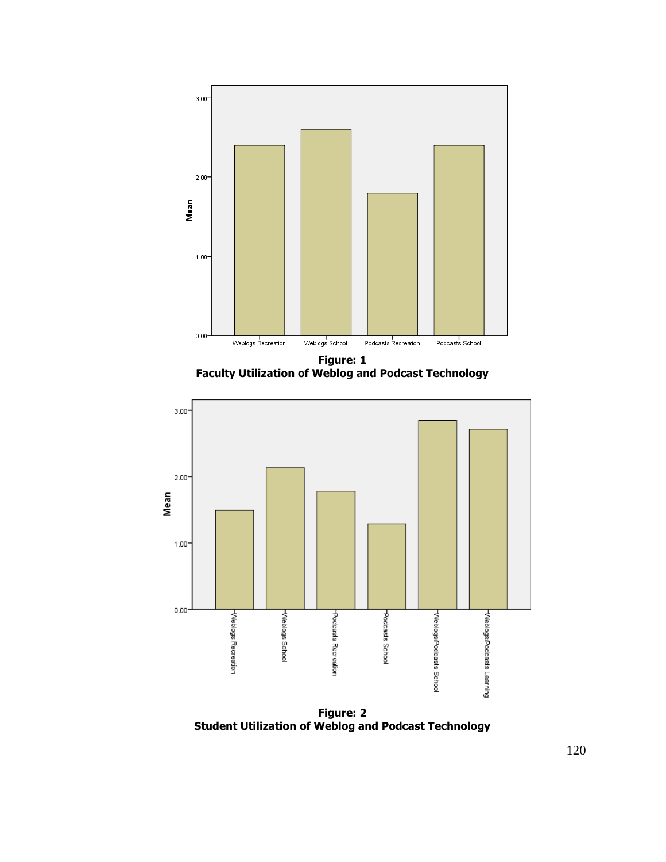

**Figure: 1 Faculty Utilization of Weblog and Podcast Technology** 



**Figure: 2 Student Utilization of Weblog and Podcast Technology**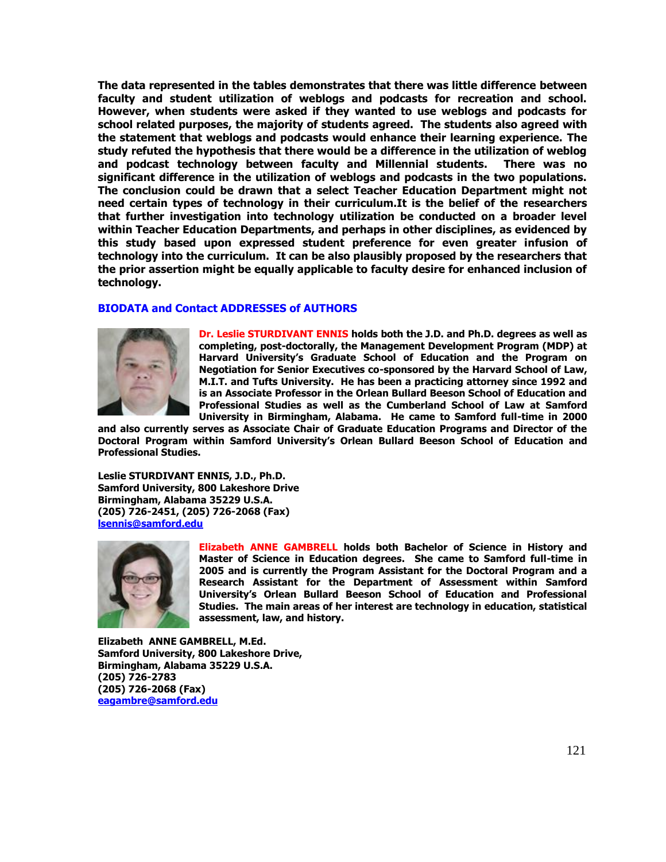**The data represented in the tables demonstrates that there was little difference between faculty and student utilization of weblogs and podcasts for recreation and school. However, when students were asked if they wanted to use weblogs and podcasts for school related purposes, the majority of students agreed. The students also agreed with the statement that weblogs and podcasts would enhance their learning experience. The study refuted the hypothesis that there would be a difference in the utilization of weblog and podcast technology between faculty and Millennial students. There was no significant difference in the utilization of weblogs and podcasts in the two populations. The conclusion could be drawn that a select Teacher Education Department might not need certain types of technology in their curriculum.It is the belief of the researchers that further investigation into technology utilization be conducted on a broader level within Teacher Education Departments, and perhaps in other disciplines, as evidenced by this study based upon expressed student preference for even greater infusion of technology into the curriculum. It can be also plausibly proposed by the researchers that the prior assertion might be equally applicable to faculty desire for enhanced inclusion of technology.** 

## **BIODATA and Contact ADDRESSES of AUTHORS**



**Dr. Leslie STURDIVANT ENNIS holds both the J.D. and Ph.D. degrees as well as completing, post-doctorally, the Management Development Program (MDP) at Harvard University's Graduate School of Education and the Program on Negotiation for Senior Executives co-sponsored by the Harvard School of Law, M.I.T. and Tufts University. He has been a practicing attorney since 1992 and is an Associate Professor in the Orlean Bullard Beeson School of Education and Professional Studies as well as the Cumberland School of Law at Samford University in Birmingham, Alabama. He came to Samford full-time in 2000** 

**and also currently serves as Associate Chair of Graduate Education Programs and Director of the Doctoral Program within Samford University's Orlean Bullard Beeson School of Education and Professional Studies.** 

**Leslie STURDIVANT ENNIS, J.D., Ph.D. Samford University, 800 Lakeshore Drive Birmingham, Alabama 35229 U.S.A. (205) 726-2451, (205) 726-2068 (Fax) [lsennis@samford.edu](mailto:lsennis@samford.edu)**



**Elizabeth ANNE GAMBRELL holds both Bachelor of Science in History and Master of Science in Education degrees. She came to Samford full-time in 2005 and is currently the Program Assistant for the Doctoral Program and a Research Assistant for the Department of Assessment within Samford University's Orlean Bullard Beeson School of Education and Professional Studies. The main areas of her interest are technology in education, statistical assessment, law, and history.** 

**Elizabeth ANNE GAMBRELL, M.Ed. Samford University, 800 Lakeshore Drive, Birmingham, Alabama 35229 U.S.A. (205) 726-2783 (205) 726-2068 (Fax) [eagambre@samford.edu](mailto:eagambre@samford.edu)**